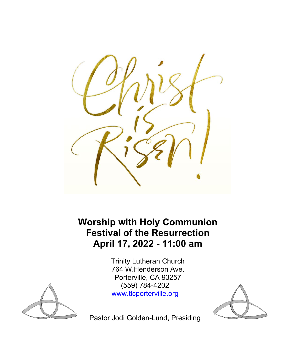

**Worship with Holy Communion Festival of the Resurrection April 17, 2022 - 11:00 am** 

> Trinity Lutheran Church 764 W.Henderson Ave. Porterville, CA 93257 (559) 784-4202 [www.tlcporterville.org](http://www.tlcporterville.org/)





Pastor Jodi Golden-Lund, Presiding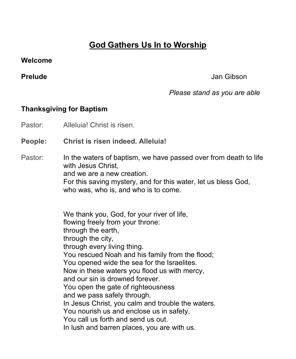# **God Gathers Us In to Worship**

#### **Welcome**

#### **Prelude** Jan Gibson

# *Please stand as you are able*

# **Thanksgiving for Baptism**

Pastor: Alleluia! Christ is risen.

### **People: Christ is risen indeed. Alleluia!**

#### Pastor: In the waters of baptism, we have passed over from death to life with Jesus Christ. and we are a new creation. For this saving mystery, and for this water, let us bless God, who was, who is, and who is to come.

 We thank you, God, for your river of life, flowing freely from your throne: through the earth, through the city, through every living thing. You rescued Noah and his family from the flood; You opened wide the sea for the Israelites. Now in these waters you flood us with mercy, and our sin is drowned forever. You open the gate of righteousness and we pass safely through. In Jesus Christ, you calm and trouble the waters. You nourish us and enclose us in safety. You call us forth and send us out. In lush and barren places, you are with us.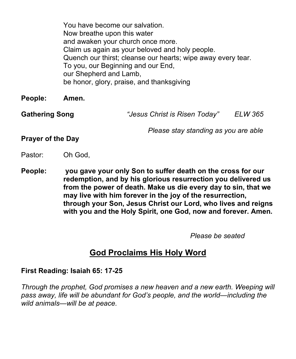You have become our salvation. Now breathe upon this water and awaken your church once more. Claim us again as your beloved and holy people. Quench our thirst; cleanse our hearts; wipe away every tear. To you, our Beginning and our End, our Shepherd and Lamb, be honor, glory, praise, and thanksgiving

**People: Amen.**

**Gathering Song** *"Jesus Christ is Risen Today" ELW 365*

 *Please stay standing as you are able*

**Prayer of the Day**

- Pastor: Oh God,
- **People: you gave your only Son to suffer death on the cross for our redemption, and by his glorious resurrection you delivered us from the power of death. Make us die every day to sin, that we may live with him forever in the joy of the resurrection, through your Son, Jesus Christ our Lord, who lives and reigns with you and the Holy Spirit, one God, now and forever. Amen.**

 *Please be seated*

# **God Proclaims His Holy Word**

### **First Reading: Isaiah 65: 17-25**

*Through the prophet, God promises a new heaven and a new earth. Weeping will pass away, life will be abundant for God's people, and the world—including the wild animals—will be at peace.*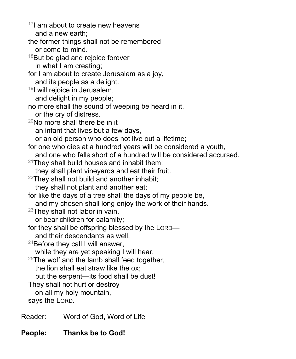$17$ I am about to create new heavens and a new earth; the former things shall not be remembered or come to mind.  $18$ But be glad and rejoice forever in what I am creating; for I am about to create Jerusalem as a joy, and its people as a delight. 19I will rejoice in Jerusalem, and delight in my people; no more shall the sound of weeping be heard in it, or the cry of distress.  $20$ No more shall there be in it an infant that lives but a few days, or an old person who does not live out a lifetime; for one who dies at a hundred years will be considered a youth, and one who falls short of a hundred will be considered accursed.  $21$ They shall build houses and inhabit them; they shall plant vineyards and eat their fruit.  $22$ They shall not build and another inhabit; they shall not plant and another eat; for like the days of a tree shall the days of my people be, and my chosen shall long enjoy the work of their hands.  $23$ They shall not labor in vain, or bear children for calamity; for they shall be offspring blessed by the LORD and their descendants as well.  $24$ Before they call I will answer, while they are yet speaking I will hear.  $25$ The wolf and the lamb shall feed together, the lion shall eat straw like the ox; but the serpent—its food shall be dust! They shall not hurt or destroy on all my holy mountain, says the LORD. Reader: Word of God, Word of Life

**People: Thanks be to God!**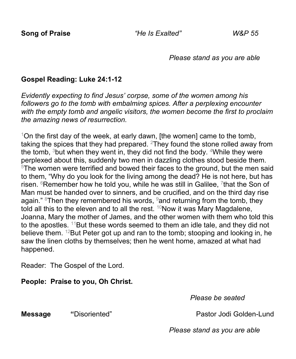*Please stand as you are able*

# **Gospel Reading: Luke 24:1-12**

*Evidently expecting to find Jesus' corpse, some of the women among his followers go to the tomb with embalming spices. After a perplexing encounter with the empty tomb and angelic visitors, the women become the first to proclaim the amazing news of resurrection.*

 $1$ On the first day of the week, at early dawn, [the women] came to the tomb, taking the spices that they had prepared.  $2$ They found the stone rolled away from the tomb,  $3$ but when they went in, they did not find the body.  $4$ While they were perplexed about this, suddenly two men in dazzling clothes stood beside them.  $5$ The women were terrified and bowed their faces to the ground, but the men said to them, "Why do you look for the living among the dead? He is not here, but has risen.  $6$ Remember how he told you, while he was still in Galilee,  $7$ that the Son of Man must be handed over to sinners, and be crucified, and on the third day rise again." <sup>8</sup>Then they remembered his words,  $9$  and returning from the tomb, they told all this to the eleven and to all the rest.  $10N$ ow it was Mary Magdalene, Joanna, Mary the mother of James, and the other women with them who told this to the apostles.  $11$ But these words seemed to them an idle tale, and they did not believe them. <sup>12</sup>But Peter got up and ran to the tomb; stooping and looking in, he saw the linen cloths by themselves; then he went home, amazed at what had happened.

Reader: The Gospel of the Lord.

### **People: Praise to you, Oh Christ.**

*Please be seated*

**Message "Disoriented" Pastor Jodi Golden-Lund** 

*Please stand as you are able*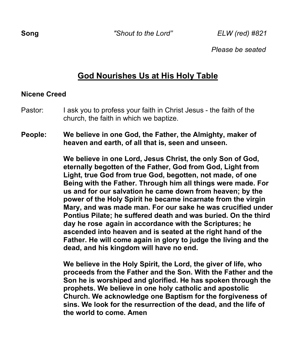*Please be seated*

# **God Nourishes Us at His Holy Table**

# **Nicene Creed**

- Pastor: I ask you to profess your faith in Christ Jesus the faith of the church, the faith in which we baptize.
- **People: We believe in one God, the Father, the Almighty, maker of heaven and earth, of all that is, seen and unseen.**

 **We believe in one Lord, Jesus Christ, the only Son of God, eternally begotten of the Father, God from God, Light from Light, true God from true God, begotten, not made, of one Being with the Father. Through him all things were made. For us and for our salvation he came down from heaven; by the power of the Holy Spirit he became incarnate from the virgin Mary, and was made man. For our sake he was crucified under Pontius Pilate; he suffered death and was buried. On the third day he rose again in accordance with the Scriptures; he ascended into heaven and is seated at the right hand of the Father. He will come again in glory to judge the living and the dead, and his kingdom will have no end.**

 **We believe in the Holy Spirit, the Lord, the giver of life, who proceeds from the Father and the Son. With the Father and the Son he is worshiped and glorified. He has spoken through the prophets. We believe in one holy catholic and apostolic Church. We acknowledge one Baptism for the forgiveness of sins. We look for the resurrection of the dead, and the life of the world to come. Amen**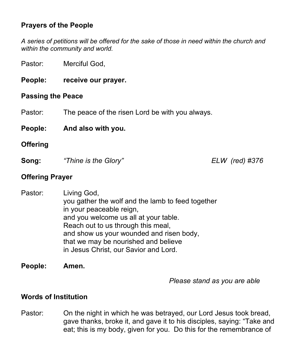# **Prayers of the People**

*A series of petitions will be offered for the sake of those in need within the church and within the community and world.*

Pastor: Merciful God,

**People: receive our prayer.**

#### **Passing the Peace**

Pastor: The peace of the risen Lord be with you always.

**People: And also with you.**

#### **Offering**

**Song:** *"Thine is the Glory" ELW (red) #376*

#### **Offering Prayer**

Pastor: Living God, you gather the wolf and the lamb to feed together in your peaceable reign, and you welcome us all at your table. Reach out to us through this meal, and show us your wounded and risen body, that we may be nourished and believe in Jesus Christ, our Savior and Lord.

**People: Amen.**

*Please stand as you are able*

#### **Words of Institution**

Pastor: On the night in which he was betrayed, our Lord Jesus took bread, gave thanks, broke it, and gave it to his disciples, saying: "Take and eat; this is my body, given for you. Do this for the remembrance of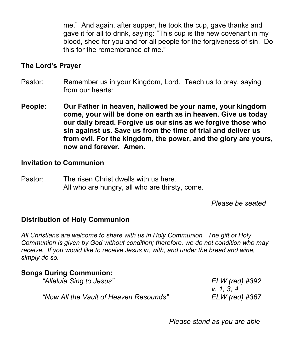me." And again, after supper, he took the cup, gave thanks and gave it for all to drink, saying: "This cup is the new covenant in my blood, shed for you and for all people for the forgiveness of sin. Do this for the remembrance of me."

### **The Lord's Prayer**

- Pastor: Remember us in your Kingdom, Lord. Teach us to pray, saying from our hearts:
- **People: Our Father in heaven, hallowed be your name, your kingdom come, your will be done on earth as in heaven. Give us today our daily bread. Forgive us our sins as we forgive those who sin against us. Save us from the time of trial and deliver us from evil. For the kingdom, the power, and the glory are yours, now and forever. Amen.**

#### **Invitation to Communion**

Pastor: The risen Christ dwells with us here. All who are hungry, all who are thirsty, come.

*Please be seated*

### **Distribution of Holy Communion**

*All Christians are welcome to share with us in Holy Communion. The gift of Holy Communion is given by God without condition; therefore, we do not condition who may receive. If you would like to receive Jesus in, with, and under the bread and wine, simply do so.*

### **Songs During Communion:**

| "Alleluia Sing to Jesus"               | ELW (red) #392 |
|----------------------------------------|----------------|
|                                        | V. 1, 3, 4     |
| "Now All the Vault of Heaven Resounds" | ELW (red) #367 |

*Please stand as you are able*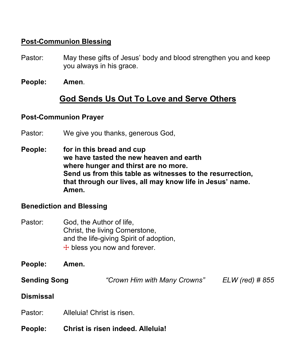# **Post-Communion Blessing**

- Pastor: May these gifts of Jesus' body and blood strengthen you and keep you always in his grace.
- **People: Amen**.

# **God Sends Us Out To Love and Serve Others**

### **Post-Communion Prayer**

- Pastor: We give you thanks, generous God,
- **People: for in this bread and cup we have tasted the new heaven and earth where hunger and thirst are no more. Send us from this table as witnesses to the resurrection, that through our lives, all may know life in Jesus' name. Amen.**

### **Benediction and Blessing**

- Pastor: God, the Author of life, Christ, the living Cornerstone, and the life-giving Spirit of adoption,  $+$  bless you now and forever.
- **People: Amen.**
- **Sending Song** *"Crown Him with Many Crowns" ELW (red) # 855*

#### **Dismissal**

- Pastor: Alleluia! Christ is risen.
- **People: Christ is risen indeed. Alleluia!**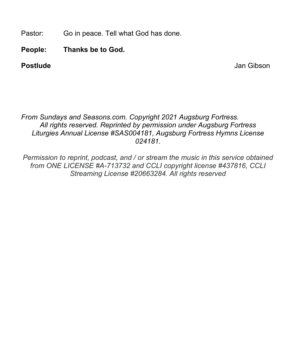Pastor: Go in peace. Tell what God has done.

**People: Thanks be to God.** 

**Postlude** Jan Gibson

## *From Sundays and Seasons.com. Copyright 2021 Augsburg Fortress. All rights reserved. Reprinted by permission under Augsburg Fortress Liturgies Annual License #SAS004181, Augsburg Fortress Hymns License 024181.*

*Permission to reprint, podcast, and / or stream the music in this service obtained from ONE LICENSE #A-713732 and CCLI copyright license #437816, CCLI Streaming License #20663284. All rights reserved*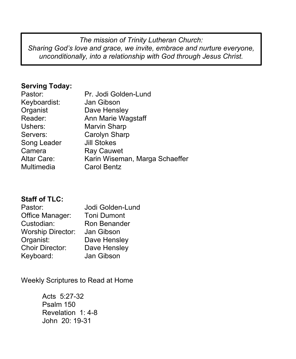*The mission of Trinity Lutheran Church: Sharing God's love and grace, we invite, embrace and nurture everyone, unconditionally, into a relationship with God through Jesus Christ.*

## **Serving Today:**

| Pastor:            | Pr. Jodi Golden-Lund           |
|--------------------|--------------------------------|
| Keyboardist:       | Jan Gibson                     |
| Organist           | Dave Hensley                   |
| Reader:            | Ann Marie Wagstaff             |
| Ushers:            | <b>Marvin Sharp</b>            |
| Servers:           | Carolyn Sharp                  |
| Song Leader        | <b>Jill Stokes</b>             |
| Camera             | <b>Ray Cauwet</b>              |
| <b>Altar Care:</b> | Karin Wiseman, Marga Schaeffer |
| Multimedia         | <b>Carol Bentz</b>             |
|                    |                                |

# **Staff of TLC:**

| Pastor:                  | Jodi Golden-Lund   |
|--------------------------|--------------------|
| Office Manager:          | <b>Toni Dumont</b> |
| Custodian:               | Ron Benander       |
| <b>Worship Director:</b> | Jan Gibson         |
| Organist:                | Dave Hensley       |
| <b>Choir Director:</b>   | Dave Hensley       |
| Keyboard:                | Jan Gibson         |

Weekly Scriptures to Read at Home

Acts 5:27-32 Psalm 150 Revelation 1: 4-8 John 20: 19-31